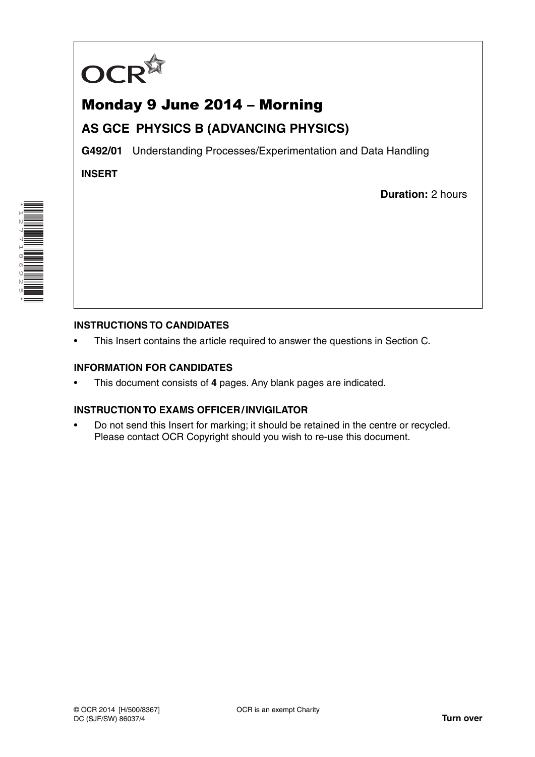

# Monday 9 June 2014 – Morning

## **AS GCE PHYSICS B (ADVANCING PHYSICS)**

**G492/01** Understanding Processes/Experimentation and Data Handling

**INSERT**

**Duration:** 2 hours



### **INSTRUCTIONS TO CANDIDATES**

This Insert contains the article required to answer the questions in Section C.

#### **INFORMATION FOR CANDIDATES**

• This document consists of **4** pages. Any blank pages are indicated.

#### **INSTRUCTION TO EXAMS OFFICER / INVIGILATOR**

• Do not send this Insert for marking; it should be retained in the centre or recycled. Please contact OCR Copyright should you wish to re-use this document.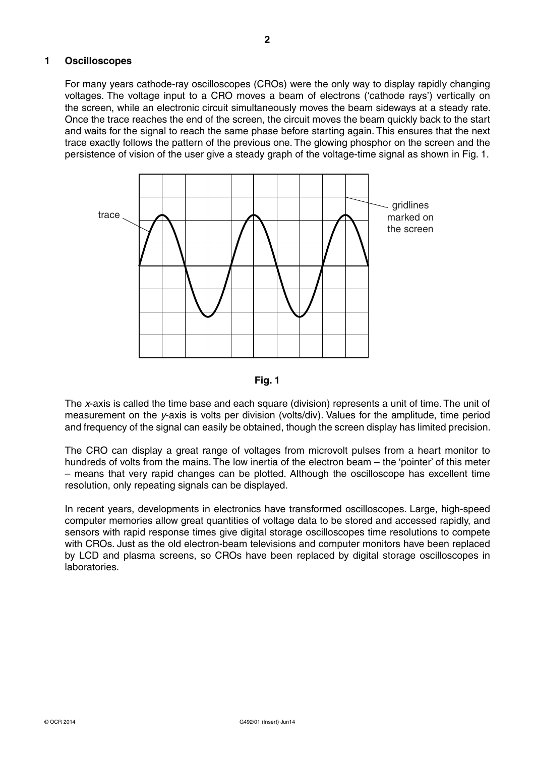For many years cathode-ray oscilloscopes (CROs) were the only way to display rapidly changing voltages. The voltage input to a CRO moves a beam of electrons ('cathode rays') vertically on the screen, while an electronic circuit simultaneously moves the beam sideways at a steady rate. Once the trace reaches the end of the screen, the circuit moves the beam quickly back to the start and waits for the signal to reach the same phase before starting again. This ensures that the next trace exactly follows the pattern of the previous one. The glowing phosphor on the screen and the persistence of vision of the user give a steady graph of the voltage-time signal as shown in Fig. 1.





The *x*-axis is called the time base and each square (division) represents a unit of time. The unit of measurement on the *y*-axis is volts per division (volts/div). Values for the amplitude, time period and frequency of the signal can easily be obtained, though the screen display has limited precision.

The CRO can display a great range of voltages from microvolt pulses from a heart monitor to hundreds of volts from the mains. The low inertia of the electron beam – the 'pointer' of this meter – means that very rapid changes can be plotted. Although the oscilloscope has excellent time resolution, only repeating signals can be displayed.

In recent years, developments in electronics have transformed oscilloscopes. Large, high-speed computer memories allow great quantities of voltage data to be stored and accessed rapidly, and sensors with rapid response times give digital storage oscilloscopes time resolutions to compete with CROs. Just as the old electron-beam televisions and computer monitors have been replaced by LCD and plasma screens, so CROs have been replaced by digital storage oscilloscopes in laboratories.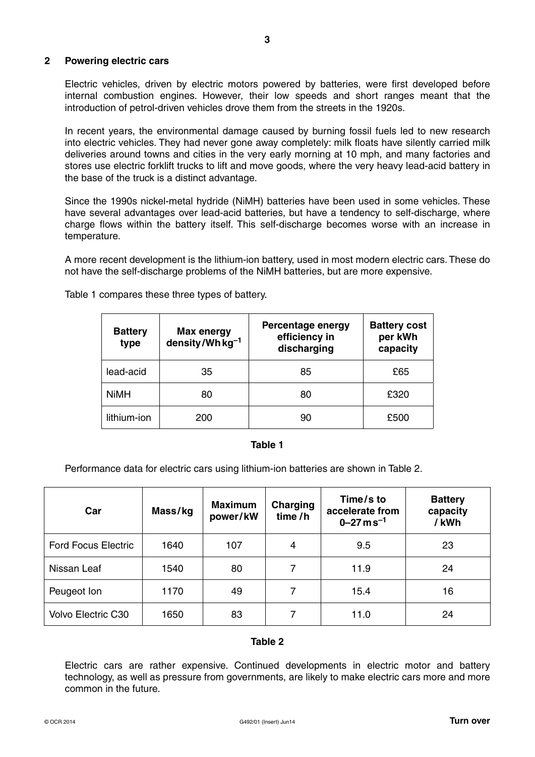#### **2 Powering electric cars**

Electric vehicles, driven by electric motors powered by batteries, were first developed before internal combustion engines. However, their low speeds and short ranges meant that the introduction of petrol-driven vehicles drove them from the streets in the 1920s.

In recent years, the environmental damage caused by burning fossil fuels led to new research into electric vehicles. They had never gone away completely: milk floats have silently carried milk deliveries around towns and cities in the very early morning at 10 mph, and many factories and stores use electric forklift trucks to lift and move goods, where the very heavy lead-acid battery in the base of the truck is a distinct advantage.

Since the 1990s nickel-metal hydride (NiMH) batteries have been used in some vehicles. These have several advantages over lead-acid batteries, but have a tendency to self-discharge, where charge flows within the battery itself. This self-discharge becomes worse with an increase in temperature.

A more recent development is the lithium-ion battery, used in most modern electric cars. These do not have the self-discharge problems of the NiMH batteries, but are more expensive.

| <b>Battery</b><br>type | <b>Max energy</b><br>density/Wh kg <sup>-1</sup> | Percentage energy<br>efficiency in<br>discharging | <b>Battery cost</b><br>per kWh<br>capacity |
|------------------------|--------------------------------------------------|---------------------------------------------------|--------------------------------------------|
| lead-acid              | 35                                               | 85                                                | £65                                        |
| <b>NiMH</b>            | 80                                               | 80                                                | £320                                       |
| lithium-ion            | 200                                              | 90                                                | £500                                       |

Table 1 compares these three types of battery.

#### **Table 1**

Performance data for electric cars using lithium-ion batteries are shown in Table 2.

| Car                        | Mass/kg | <b>Maximum</b><br>power/kW | Charging<br>time/h | Time/s to<br>accelerate from<br>$0 - 27$ m s <sup>-1</sup> | <b>Battery</b><br>capacity<br>/kWh |
|----------------------------|---------|----------------------------|--------------------|------------------------------------------------------------|------------------------------------|
| <b>Ford Focus Electric</b> | 1640    | 107                        | 4                  | 9.5                                                        | 23                                 |
| Nissan Leaf                | 1540    | 80                         | 7                  | 11.9                                                       | 24                                 |
| Peugeot Ion                | 1170    | 49                         | 7                  | 15.4                                                       | 16                                 |
| Volvo Electric C30         | 1650    | 83                         |                    | 11.0                                                       | 24                                 |

#### **Table 2**

Electric cars are rather expensive. Continued developments in electric motor and battery technology, as well as pressure from governments, are likely to make electric cars more and more common in the future.